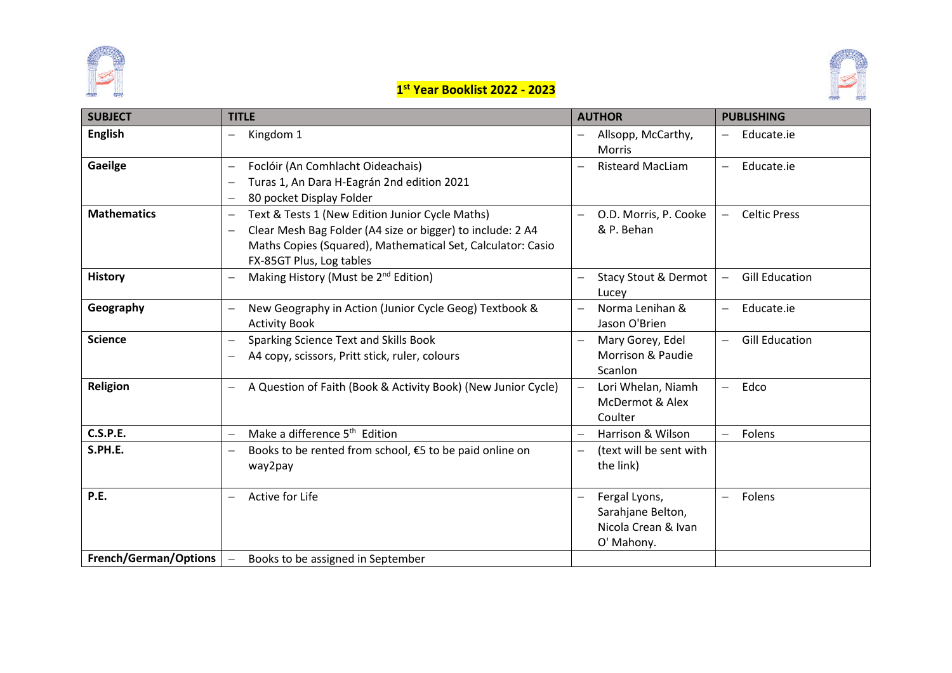



#### **1 st Year Booklist 2022 - 2023**

| <b>SUBJECT</b>               | <b>TITLE</b>                                                                                                                                                                                                                                                     | <b>AUTHOR</b>                                                                  | <b>PUBLISHING</b>                |
|------------------------------|------------------------------------------------------------------------------------------------------------------------------------------------------------------------------------------------------------------------------------------------------------------|--------------------------------------------------------------------------------|----------------------------------|
| <b>English</b>               | Kingdom 1<br>$\overline{\phantom{0}}$                                                                                                                                                                                                                            | Allsopp, McCarthy,<br><b>Morris</b>                                            | Educate.ie                       |
| Gaeilge                      | Foclóir (An Comhlacht Oideachais)<br>$\qquad \qquad -$<br>Turas 1, An Dara H-Eagrán 2nd edition 2021<br>80 pocket Display Folder<br>$\overline{\phantom{m}}$                                                                                                     | <b>Risteard MacLiam</b>                                                        | Educate.ie<br>$\qquad \qquad -$  |
| <b>Mathematics</b>           | Text & Tests 1 (New Edition Junior Cycle Maths)<br>$\overline{\phantom{m}}$<br>Clear Mesh Bag Folder (A4 size or bigger) to include: 2 A4<br>$\overline{\phantom{m}}$<br>Maths Copies (Squared), Mathematical Set, Calculator: Casio<br>FX-85GT Plus, Log tables | O.D. Morris, P. Cooke<br>& P. Behan                                            | <b>Celtic Press</b>              |
| <b>History</b>               | Making History (Must be 2 <sup>nd</sup> Edition)                                                                                                                                                                                                                 | <b>Stacy Stout &amp; Dermot</b><br>Lucey                                       | <b>Gill Education</b>            |
| Geography                    | New Geography in Action (Junior Cycle Geog) Textbook &<br><b>Activity Book</b>                                                                                                                                                                                   | Norma Lenihan &<br>Jason O'Brien                                               | Educate.ie                       |
| <b>Science</b>               | Sparking Science Text and Skills Book<br>$\overline{\phantom{m}}$<br>A4 copy, scissors, Pritt stick, ruler, colours                                                                                                                                              | Mary Gorey, Edel<br>Morrison & Paudie<br>Scanlon                               | <b>Gill Education</b>            |
| Religion                     | A Question of Faith (Book & Activity Book) (New Junior Cycle)                                                                                                                                                                                                    | Lori Whelan, Niamh<br>McDermot & Alex<br>Coulter                               | Edco<br>$\overline{\phantom{0}}$ |
| <b>C.S.P.E.</b>              | Make a difference 5 <sup>th</sup> Edition<br>$\overline{\phantom{m}}$                                                                                                                                                                                            | Harrison & Wilson                                                              | Folens<br>$-$                    |
| S.PH.E.                      | Books to be rented from school, €5 to be paid online on<br>way2pay                                                                                                                                                                                               | (text will be sent with<br>the link)                                           |                                  |
| P.E.                         | Active for Life<br>$\qquad \qquad -$                                                                                                                                                                                                                             | Fergal Lyons,<br>$-$<br>Sarahjane Belton,<br>Nicola Crean & Ivan<br>O' Mahony. | Folens                           |
| <b>French/German/Options</b> | $\overline{\phantom{0}}$<br>Books to be assigned in September                                                                                                                                                                                                    |                                                                                |                                  |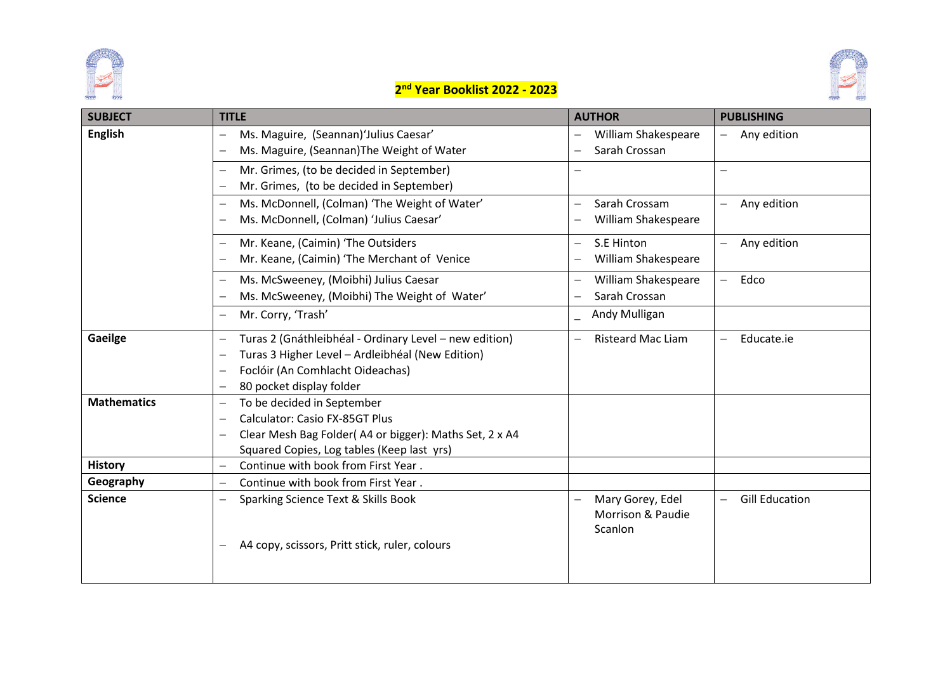



### **2 nd Year Booklist 2022 - 2023**

| <b>SUBJECT</b>     | <b>TITLE</b>                                                                                                                                                                                                                                                    | <b>AUTHOR</b>                                                                | <b>PUBLISHING</b>                      |
|--------------------|-----------------------------------------------------------------------------------------------------------------------------------------------------------------------------------------------------------------------------------------------------------------|------------------------------------------------------------------------------|----------------------------------------|
| <b>English</b>     | Ms. Maguire, (Seannan)'Julius Caesar'<br>$\overline{\phantom{m}}$<br>Ms. Maguire, (Seannan) The Weight of Water                                                                                                                                                 | William Shakespeare<br>Sarah Crossan                                         | Any edition                            |
|                    | Mr. Grimes, (to be decided in September)<br>$\overline{\phantom{m}}$<br>Mr. Grimes, (to be decided in September)                                                                                                                                                | $\overline{\phantom{0}}$                                                     |                                        |
|                    | Ms. McDonnell, (Colman) 'The Weight of Water'<br>Ms. McDonnell, (Colman) 'Julius Caesar'                                                                                                                                                                        | Sarah Crossam<br>$\overline{\phantom{0}}$<br>William Shakespeare             | Any edition                            |
|                    | Mr. Keane, (Caimin) 'The Outsiders<br>Mr. Keane, (Caimin) 'The Merchant of Venice                                                                                                                                                                               | S.E Hinton<br>$\overline{\phantom{0}}$<br>William Shakespeare                | Any edition                            |
|                    | Ms. McSweeney, (Moibhi) Julius Caesar<br>Ms. McSweeney, (Moibhi) The Weight of Water'                                                                                                                                                                           | William Shakespeare<br>Sarah Crossan                                         | Edco<br>$\overline{\phantom{0}}$       |
|                    | Mr. Corry, 'Trash'                                                                                                                                                                                                                                              | Andy Mulligan                                                                |                                        |
| Gaeilge            | Turas 2 (Gnáthleibhéal - Ordinary Level - new edition)<br>$\overline{\phantom{m}}$<br>Turas 3 Higher Level - Ardleibhéal (New Edition)<br>Foclóir (An Comhlacht Oideachas)<br>80 pocket display folder                                                          | <b>Risteard Mac Liam</b>                                                     | Educate.ie<br>$\overline{\phantom{0}}$ |
| <b>Mathematics</b> | To be decided in September<br>$\overline{\phantom{m}}$<br><b>Calculator: Casio FX-85GT Plus</b><br>$\overline{\phantom{0}}$<br>Clear Mesh Bag Folder(A4 or bigger): Maths Set, 2 x A4<br>$\overline{\phantom{0}}$<br>Squared Copies, Log tables (Keep last yrs) |                                                                              |                                        |
| <b>History</b>     | Continue with book from First Year.<br>$\overline{\phantom{0}}$                                                                                                                                                                                                 |                                                                              |                                        |
| Geography          | Continue with book from First Year.<br>$\overline{\phantom{0}}$                                                                                                                                                                                                 |                                                                              |                                        |
| <b>Science</b>     | Sparking Science Text & Skills Book                                                                                                                                                                                                                             | Mary Gorey, Edel<br>$\overline{\phantom{0}}$<br>Morrison & Paudie<br>Scanlon | <b>Gill Education</b>                  |
|                    | A4 copy, scissors, Pritt stick, ruler, colours                                                                                                                                                                                                                  |                                                                              |                                        |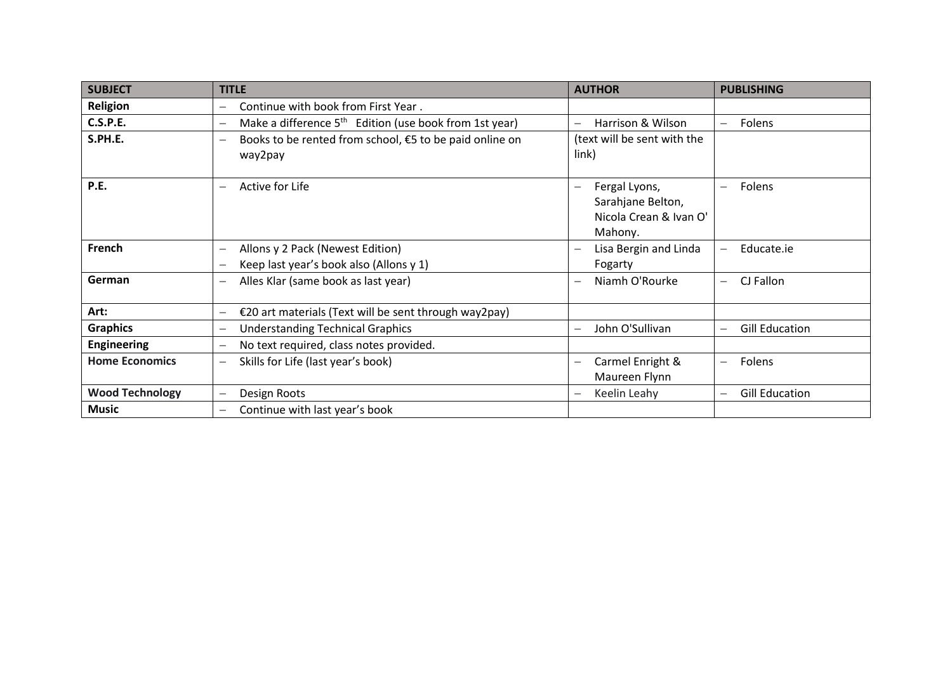| <b>SUBJECT</b>         | <b>TITLE</b>                                                                | <b>AUTHOR</b>                                                           | <b>PUBLISHING</b>                      |
|------------------------|-----------------------------------------------------------------------------|-------------------------------------------------------------------------|----------------------------------------|
| Religion               | Continue with book from First Year.                                         |                                                                         |                                        |
| <b>C.S.P.E.</b>        | Make a difference $5th$ Edition (use book from 1st year)                    | Harrison & Wilson                                                       | Folens<br>$-$                          |
| S.PH.E.                | Books to be rented from school, €5 to be paid online on<br>way2pay          | (text will be sent with the<br>link)                                    |                                        |
| P.E.                   | Active for Life                                                             | Fergal Lyons,<br>Sarahjane Belton,<br>Nicola Crean & Ivan O'<br>Mahony. | Folens<br>$\qquad \qquad -$            |
| French                 | Allons y 2 Pack (Newest Edition)<br>Keep last year's book also (Allons y 1) | Lisa Bergin and Linda<br>Fogarty                                        | Educate.ie<br>$\overline{\phantom{0}}$ |
| German                 | Alles Klar (same book as last year)                                         | Niamh O'Rourke                                                          | CJ Fallon<br>$-$                       |
| Art:                   | €20 art materials (Text will be sent through way2pay)<br>$\qquad \qquad -$  |                                                                         |                                        |
| <b>Graphics</b>        | <b>Understanding Technical Graphics</b>                                     | John O'Sullivan                                                         | <b>Gill Education</b>                  |
| <b>Engineering</b>     | No text required, class notes provided.                                     |                                                                         |                                        |
| <b>Home Economics</b>  | Skills for Life (last year's book)                                          | Carmel Enright &<br>Maureen Flynn                                       | Folens<br>$\equiv$                     |
| <b>Wood Technology</b> | Design Roots                                                                | Keelin Leahy                                                            | <b>Gill Education</b>                  |
| <b>Music</b>           | Continue with last year's book<br>$\overline{\phantom{m}}$                  |                                                                         |                                        |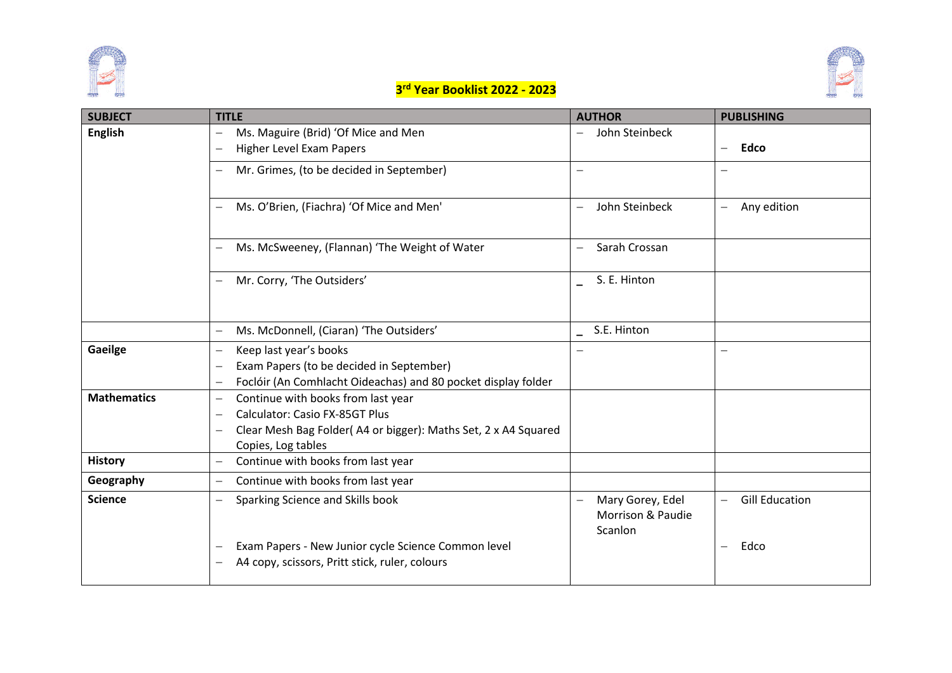



### **3 rd Year Booklist 2022 - 2023**

| <b>SUBJECT</b>     | <b>TITLE</b>                                                             | <b>AUTHOR</b>                              | <b>PUBLISHING</b>                          |
|--------------------|--------------------------------------------------------------------------|--------------------------------------------|--------------------------------------------|
| <b>English</b>     | Ms. Maguire (Brid) 'Of Mice and Men<br>$\overline{\phantom{0}}$          | John Steinbeck<br>$\overline{\phantom{0}}$ |                                            |
|                    | Higher Level Exam Papers                                                 |                                            | <b>Edco</b><br>$\overline{\phantom{0}}$    |
|                    | Mr. Grimes, (to be decided in September)<br>—                            | —                                          | $\overline{\phantom{0}}$                   |
|                    |                                                                          |                                            |                                            |
|                    | Ms. O'Brien, (Fiachra) 'Of Mice and Men'                                 | John Steinbeck<br>$\overline{\phantom{0}}$ | Any edition<br>$\qquad \qquad -$           |
|                    |                                                                          |                                            |                                            |
|                    | Ms. McSweeney, (Flannan) 'The Weight of Water<br>$-$                     | Sarah Crossan                              |                                            |
|                    |                                                                          |                                            |                                            |
|                    | Mr. Corry, 'The Outsiders'                                               | S. E. Hinton                               |                                            |
|                    |                                                                          |                                            |                                            |
|                    | Ms. McDonnell, (Ciaran) 'The Outsiders'<br>—                             | S.E. Hinton                                |                                            |
| Gaeilge            | Keep last year's books<br>$\overline{\phantom{0}}$                       |                                            | $\overline{\phantom{0}}$                   |
|                    | Exam Papers (to be decided in September)                                 |                                            |                                            |
|                    | Foclóir (An Comhlacht Oideachas) and 80 pocket display folder            |                                            |                                            |
| <b>Mathematics</b> | Continue with books from last year                                       |                                            |                                            |
|                    | <b>Calculator: Casio FX-85GT Plus</b><br>$\overline{\phantom{0}}$        |                                            |                                            |
|                    | Clear Mesh Bag Folder(A4 or bigger): Maths Set, 2 x A4 Squared<br>—      |                                            |                                            |
|                    | Copies, Log tables                                                       |                                            |                                            |
| <b>History</b>     | Continue with books from last year<br>$\overline{\phantom{0}}$           |                                            |                                            |
| Geography          | Continue with books from last year<br>$\overline{\phantom{0}}$           |                                            |                                            |
| <b>Science</b>     | Sparking Science and Skills book<br>$-$                                  | Mary Gorey, Edel<br>$-$                    | <b>Gill Education</b><br>$\qquad \qquad -$ |
|                    |                                                                          | Morrison & Paudie                          |                                            |
|                    |                                                                          | Scanlon                                    |                                            |
|                    | Exam Papers - New Junior cycle Science Common level<br>$\qquad \qquad -$ |                                            | Edco<br>$\qquad \qquad -$                  |
|                    | A4 copy, scissors, Pritt stick, ruler, colours                           |                                            |                                            |
|                    |                                                                          |                                            |                                            |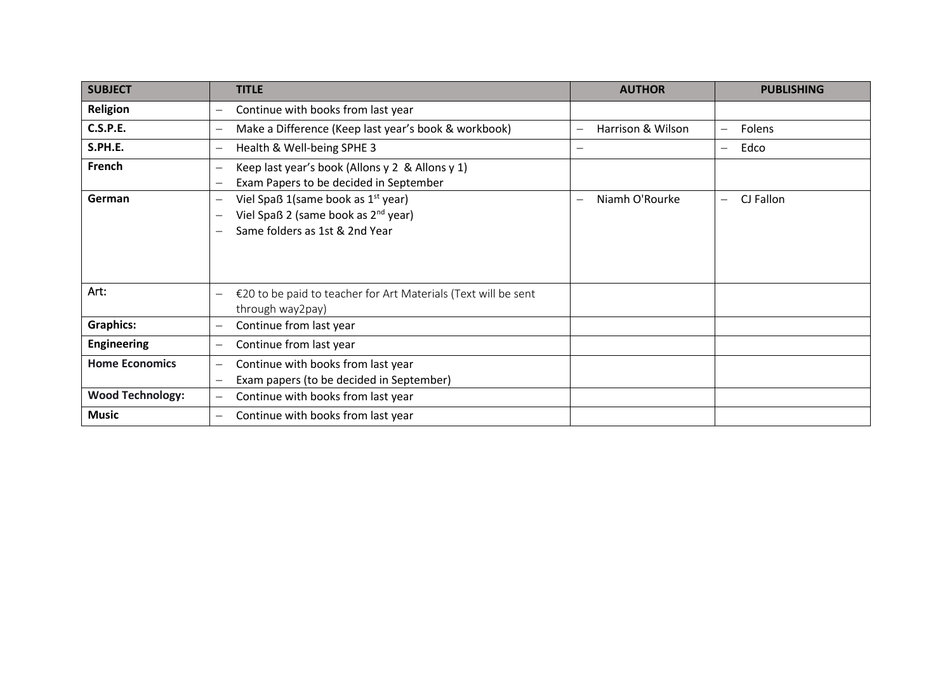| <b>SUBJECT</b>          | <b>TITLE</b>                                                                                                                                                                  | <b>AUTHOR</b>                              | <b>PUBLISHING</b>           |
|-------------------------|-------------------------------------------------------------------------------------------------------------------------------------------------------------------------------|--------------------------------------------|-----------------------------|
| Religion                | Continue with books from last year<br>$\qquad \qquad -$                                                                                                                       |                                            |                             |
| <b>C.S.P.E.</b>         | Make a Difference (Keep last year's book & workbook)<br>$\qquad \qquad -$                                                                                                     | Harrison & Wilson                          | Folens<br>$\qquad \qquad -$ |
| S.PH.E.                 | Health & Well-being SPHE 3<br>$\overline{\phantom{0}}$                                                                                                                        | $\overline{\phantom{0}}$                   | Edco<br>$\qquad \qquad -$   |
| French                  | Keep last year's book (Allons y 2 & Allons y 1)<br>$\qquad \qquad -$<br>Exam Papers to be decided in September<br>$\qquad \qquad -$                                           |                                            |                             |
| German                  | Viel Spaß 1(same book as 1 <sup>st</sup> year)<br>$\qquad \qquad -$<br>Viel Spaß 2 (same book as 2 <sup>nd</sup> year)<br>$\qquad \qquad -$<br>Same folders as 1st & 2nd Year | Niamh O'Rourke<br>$\overline{\phantom{0}}$ | CJ Fallon                   |
| Art:                    | €20 to be paid to teacher for Art Materials (Text will be sent<br>$\overline{\phantom{0}}$<br>through way2pay)                                                                |                                            |                             |
| <b>Graphics:</b>        | Continue from last year<br>$\qquad \qquad -$                                                                                                                                  |                                            |                             |
| <b>Engineering</b>      | Continue from last year<br>$\qquad \qquad -$                                                                                                                                  |                                            |                             |
| <b>Home Economics</b>   | Continue with books from last year<br>$\qquad \qquad -$<br>Exam papers (to be decided in September)<br>$\qquad \qquad -$                                                      |                                            |                             |
| <b>Wood Technology:</b> | Continue with books from last year<br>$\qquad \qquad -$                                                                                                                       |                                            |                             |
| <b>Music</b>            | Continue with books from last year                                                                                                                                            |                                            |                             |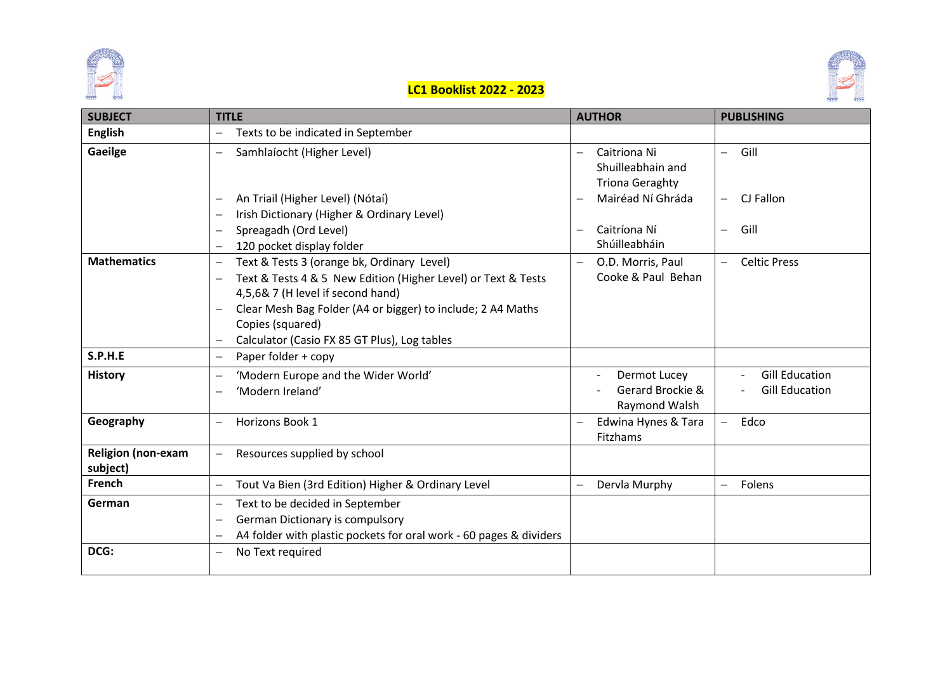



# **LC1 Booklist 2022 - 2023**

| <b>SUBJECT</b>                        | <b>TITLE</b>                                                                                                                                                                                                                                                                                                                                | <b>AUTHOR</b>                                                                                                | <b>PUBLISHING</b>                                         |
|---------------------------------------|---------------------------------------------------------------------------------------------------------------------------------------------------------------------------------------------------------------------------------------------------------------------------------------------------------------------------------------------|--------------------------------------------------------------------------------------------------------------|-----------------------------------------------------------|
| <b>English</b>                        | Texts to be indicated in September<br>$\overline{\phantom{m}}$                                                                                                                                                                                                                                                                              |                                                                                                              |                                                           |
| Gaeilge                               | Samhlaíocht (Higher Level)<br>$\overline{\phantom{m}}$<br>An Triail (Higher Level) (Nótaí)<br>Irish Dictionary (Higher & Ordinary Level)                                                                                                                                                                                                    | Caitriona Ni<br>$\overline{\phantom{0}}$<br>Shuilleabhain and<br><b>Triona Geraghty</b><br>Mairéad Ní Ghráda | Gill<br>$\equiv$<br>CJ Fallon<br>$\overline{\phantom{0}}$ |
|                                       | Spreagadh (Ord Level)<br>120 pocket display folder                                                                                                                                                                                                                                                                                          | Caitríona Ní<br>Shúilleabháin                                                                                | Gill<br>$\overline{\phantom{0}}$                          |
| <b>Mathematics</b>                    | Text & Tests 3 (orange bk, Ordinary Level)<br>$\overline{\phantom{m}}$<br>Text & Tests 4 & 5 New Edition (Higher Level) or Text & Tests<br>$\overline{\phantom{0}}$<br>4,5,6& 7 (H level if second hand)<br>Clear Mesh Bag Folder (A4 or bigger) to include; 2 A4 Maths<br>Copies (squared)<br>Calculator (Casio FX 85 GT Plus), Log tables | O.D. Morris, Paul<br>Cooke & Paul Behan                                                                      | <b>Celtic Press</b><br>$\overline{\phantom{0}}$           |
| S.P.H.E                               | Paper folder + copy<br>$\overline{\phantom{m}}$                                                                                                                                                                                                                                                                                             |                                                                                                              |                                                           |
| <b>History</b>                        | 'Modern Europe and the Wider World'<br>'Modern Ireland'                                                                                                                                                                                                                                                                                     | Dermot Lucey<br>Gerard Brockie &<br>Raymond Walsh                                                            | <b>Gill Education</b><br><b>Gill Education</b>            |
| Geography                             | <b>Horizons Book 1</b><br>$\overline{\phantom{m}}$                                                                                                                                                                                                                                                                                          | Edwina Hynes & Tara<br>Fitzhams                                                                              | Edco<br>$\overline{\phantom{0}}$                          |
| <b>Religion (non-exam</b><br>subject) | Resources supplied by school<br>$\qquad \qquad -$                                                                                                                                                                                                                                                                                           |                                                                                                              |                                                           |
| French                                | Tout Va Bien (3rd Edition) Higher & Ordinary Level<br>$\overline{\phantom{m}}$                                                                                                                                                                                                                                                              | Dervla Murphy                                                                                                | Folens<br>$\overline{\phantom{0}}$                        |
| German                                | Text to be decided in September<br>$\overline{\phantom{m}}$<br>German Dictionary is compulsory<br>A4 folder with plastic pockets for oral work - 60 pages & dividers                                                                                                                                                                        |                                                                                                              |                                                           |
| DCG:                                  | No Text required                                                                                                                                                                                                                                                                                                                            |                                                                                                              |                                                           |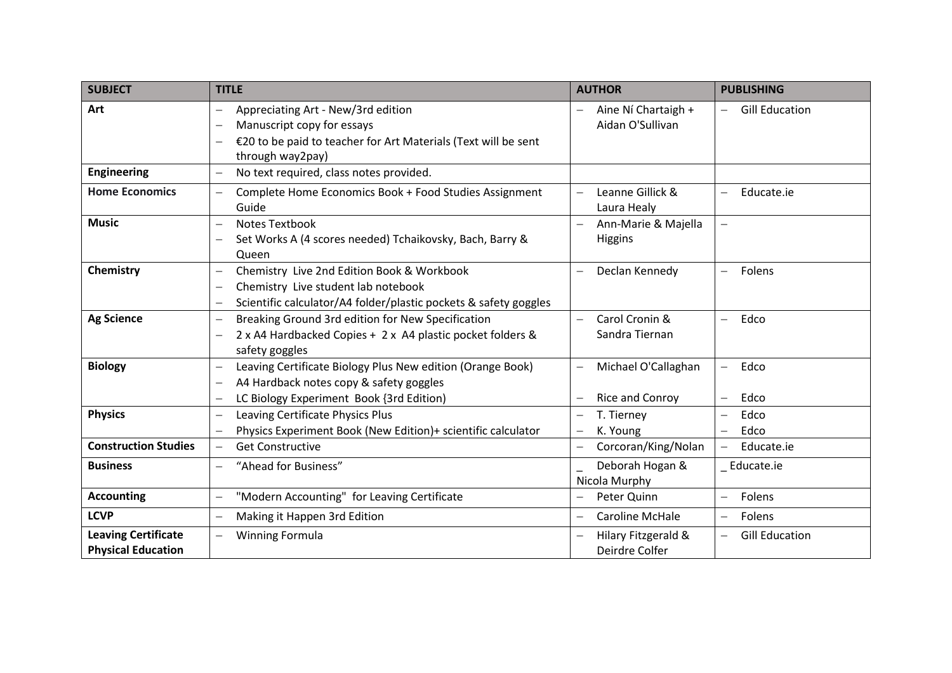| <b>SUBJECT</b>                                          | <b>TITLE</b>                                                                                                                                                                                                  | <b>AUTHOR</b>                                                | <b>PUBLISHING</b>                                                    |
|---------------------------------------------------------|---------------------------------------------------------------------------------------------------------------------------------------------------------------------------------------------------------------|--------------------------------------------------------------|----------------------------------------------------------------------|
| Art                                                     | Appreciating Art - New/3rd edition<br>Manuscript copy for essays<br>€20 to be paid to teacher for Art Materials (Text will be sent                                                                            | Aine Ní Chartaigh +<br>Aidan O'Sullivan                      | <b>Gill Education</b>                                                |
|                                                         | through way2pay)                                                                                                                                                                                              |                                                              |                                                                      |
| Engineering                                             | No text required, class notes provided.<br>$\overline{\phantom{0}}$                                                                                                                                           |                                                              |                                                                      |
| <b>Home Economics</b>                                   | Complete Home Economics Book + Food Studies Assignment<br>Guide                                                                                                                                               | Leanne Gillick &<br>Laura Healy                              | Educate.ie<br>$\qquad \qquad -$                                      |
| <b>Music</b>                                            | <b>Notes Textbook</b><br>$\overline{\phantom{0}}$<br>Set Works A (4 scores needed) Tchaikovsky, Bach, Barry &<br>Queen                                                                                        | Ann-Marie & Majella<br><b>Higgins</b>                        | $\overline{\phantom{0}}$                                             |
| Chemistry                                               | Chemistry Live 2nd Edition Book & Workbook<br>$\overline{\phantom{0}}$<br>Chemistry Live student lab notebook<br>$\overline{\phantom{0}}$<br>Scientific calculator/A4 folder/plastic pockets & safety goggles | Declan Kennedy                                               | Folens                                                               |
| <b>Ag Science</b>                                       | Breaking Ground 3rd edition for New Specification<br>$\overline{\phantom{0}}$<br>2 x A4 Hardbacked Copies + 2 x A4 plastic pocket folders &<br>safety goggles                                                 | Carol Cronin &<br>$\overline{\phantom{0}}$<br>Sandra Tiernan | Edco<br>$\overline{\phantom{0}}$                                     |
| <b>Biology</b>                                          | Leaving Certificate Biology Plus New edition (Orange Book)<br>$\overline{\phantom{0}}$<br>A4 Hardback notes copy & safety goggles<br>LC Biology Experiment Book {3rd Edition)<br>$\overline{\phantom{0}}$     | Michael O'Callaghan<br>Rice and Conroy                       | Edco<br>$\overline{\phantom{m}}$<br>Edco<br>$\overline{\phantom{0}}$ |
| <b>Physics</b>                                          | Leaving Certificate Physics Plus<br>$-$<br>Physics Experiment Book (New Edition)+ scientific calculator                                                                                                       | T. Tierney<br>K. Young<br>$\overline{\phantom{0}}$           | Edco<br>$\overline{\phantom{0}}$<br>Edco                             |
| <b>Construction Studies</b>                             | <b>Get Constructive</b>                                                                                                                                                                                       | Corcoran/King/Nolan                                          | Educate.ie<br>$\overline{\phantom{m}}$                               |
| <b>Business</b>                                         | "Ahead for Business"<br>$\overline{\phantom{0}}$                                                                                                                                                              | Deborah Hogan &<br>Nicola Murphy                             | _ Educate.ie                                                         |
| <b>Accounting</b>                                       | "Modern Accounting" for Leaving Certificate                                                                                                                                                                   | Peter Quinn                                                  | Folens<br>$\overline{\phantom{m}}$                                   |
| <b>LCVP</b>                                             | Making it Happen 3rd Edition<br>$\overline{\phantom{0}}$                                                                                                                                                      | Caroline McHale                                              | Folens<br>$\overline{\phantom{m}}$                                   |
| <b>Leaving Certificate</b><br><b>Physical Education</b> | <b>Winning Formula</b><br>$\overline{\phantom{0}}$                                                                                                                                                            | Hilary Fitzgerald &<br>Deirdre Colfer                        | <b>Gill Education</b><br>$\overline{\phantom{0}}$                    |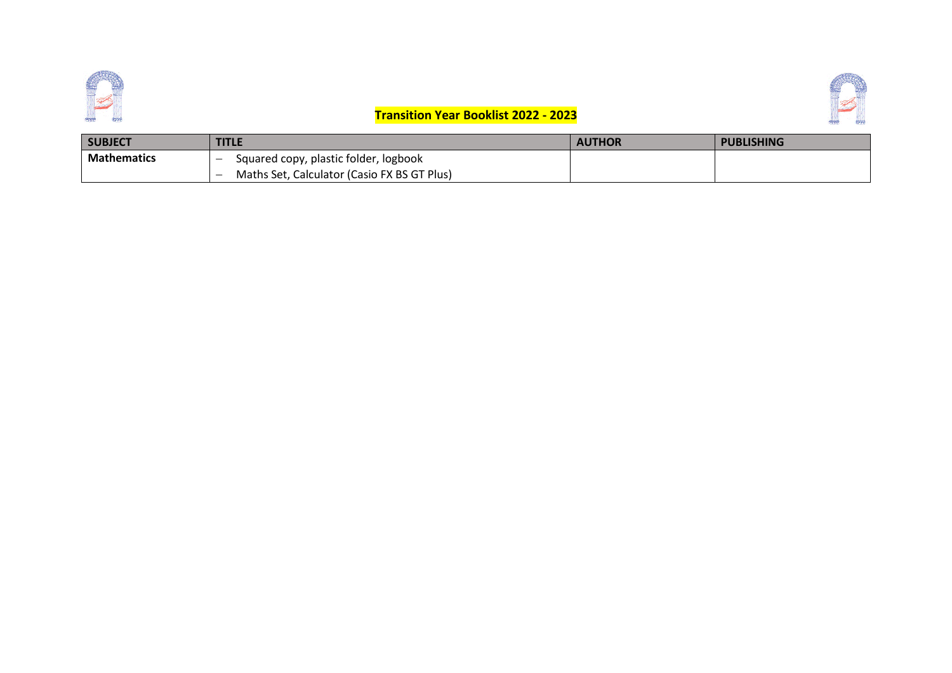



## **Transition Year Booklist 2022 - 2023**

| <b>SUBJECT</b>     | <b>TITLE</b>                                | <b>AUTHOR</b> | <b>PUBLISHING</b> |
|--------------------|---------------------------------------------|---------------|-------------------|
| <b>Mathematics</b> | Squared copy, plastic folder, logbook       |               |                   |
|                    | Maths Set, Calculator (Casio FX BS GT Plus) |               |                   |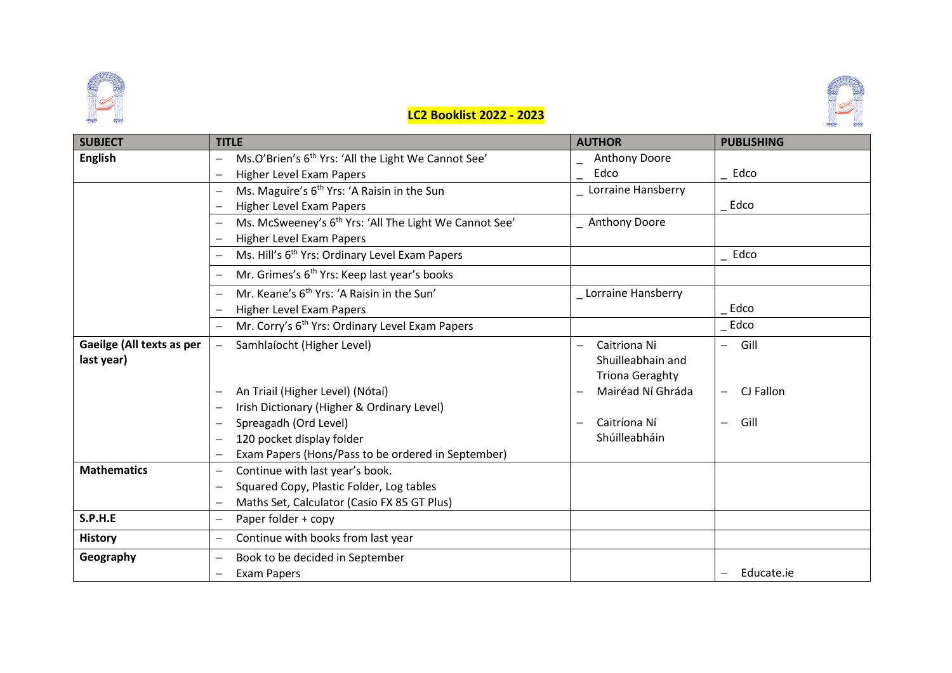





| <b>SUBJECT</b>            | <b>TITLE</b>                                                                                | <b>AUTHOR</b>                            | <b>PUBLISHING</b>                     |
|---------------------------|---------------------------------------------------------------------------------------------|------------------------------------------|---------------------------------------|
| <b>English</b>            | Ms.O'Brien's 6 <sup>th</sup> Yrs: 'All the Light We Cannot See'<br>$\overline{\phantom{0}}$ | Anthony Doore                            |                                       |
|                           | Higher Level Exam Papers<br>$\overline{\phantom{0}}$                                        | Edco                                     | Edco                                  |
|                           | Ms. Maguire's 6 <sup>th</sup> Yrs: 'A Raisin in the Sun                                     | Lorraine Hansberry                       |                                       |
|                           | Higher Level Exam Papers                                                                    |                                          | Edco                                  |
|                           | Ms. McSweeney's 6 <sup>th</sup> Yrs: 'All The Light We Cannot See'                          | Anthony Doore                            |                                       |
|                           | Higher Level Exam Papers                                                                    |                                          |                                       |
|                           | Ms. Hill's 6 <sup>th</sup> Yrs: Ordinary Level Exam Papers                                  |                                          | Edco                                  |
|                           | Mr. Grimes's 6 <sup>th</sup> Yrs: Keep last year's books                                    |                                          |                                       |
|                           | Mr. Keane's 6 <sup>th</sup> Yrs: 'A Raisin in the Sun'                                      | _ Lorraine Hansberry                     |                                       |
|                           | Higher Level Exam Papers                                                                    |                                          | Edco                                  |
|                           | Mr. Corry's 6 <sup>th</sup> Yrs: Ordinary Level Exam Papers<br>$\overline{\phantom{m}}$     |                                          | Edco                                  |
| Gaeilge (All texts as per | Samhlaíocht (Higher Level)                                                                  | Caitriona Ni                             | Gill<br>$\overline{\phantom{0}}$      |
| last year)                |                                                                                             | Shuilleabhain and                        |                                       |
|                           |                                                                                             | <b>Triona Geraghty</b>                   |                                       |
|                           | An Triail (Higher Level) (Nótaí)                                                            | Mairéad Ní Ghráda                        | CJ Fallon<br>$\overline{\phantom{0}}$ |
|                           | Irish Dictionary (Higher & Ordinary Level)                                                  |                                          |                                       |
|                           | Spreagadh (Ord Level)<br>$\overline{\phantom{0}}$                                           | Caitríona Ní<br>$\overline{\phantom{0}}$ | Gill<br>$\overline{\phantom{0}}$      |
|                           | 120 pocket display folder                                                                   | Shúilleabháin                            |                                       |
|                           | Exam Papers (Hons/Pass to be ordered in September)                                          |                                          |                                       |
| <b>Mathematics</b>        | Continue with last year's book.<br>$\overline{\phantom{0}}$                                 |                                          |                                       |
|                           | Squared Copy, Plastic Folder, Log tables<br>$\overline{\phantom{0}}$                        |                                          |                                       |
|                           | Maths Set, Calculator (Casio FX 85 GT Plus)<br>$\overline{\phantom{0}}$                     |                                          |                                       |
| S.P.H.E                   | Paper folder + copy                                                                         |                                          |                                       |
| <b>History</b>            | Continue with books from last year                                                          |                                          |                                       |
| Geography                 | Book to be decided in September                                                             |                                          |                                       |
|                           | <b>Exam Papers</b><br>$\overline{\phantom{0}}$                                              |                                          | Educate.ie                            |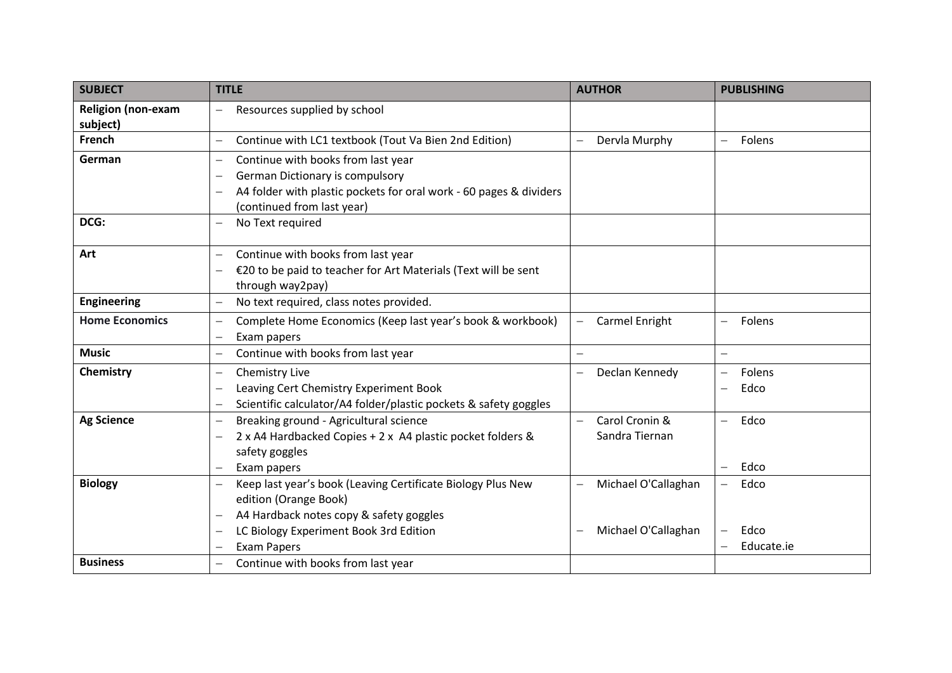| <b>SUBJECT</b>            | <b>TITLE</b>                                                                            | <b>AUTHOR</b>                                   | <b>PUBLISHING</b>                |
|---------------------------|-----------------------------------------------------------------------------------------|-------------------------------------------------|----------------------------------|
| <b>Religion (non-exam</b> | Resources supplied by school                                                            |                                                 |                                  |
| subject)                  |                                                                                         |                                                 |                                  |
| French                    | Continue with LC1 textbook (Tout Va Bien 2nd Edition)<br>$\qquad \qquad -$              | Dervla Murphy                                   | Folens                           |
| German                    | Continue with books from last year<br>$\qquad \qquad -$                                 |                                                 |                                  |
|                           | German Dictionary is compulsory<br>$\overline{\phantom{m}}$                             |                                                 |                                  |
|                           | A4 folder with plastic pockets for oral work - 60 pages & dividers                      |                                                 |                                  |
|                           | (continued from last year)                                                              |                                                 |                                  |
| DCG:                      | No Text required<br>$\overline{\phantom{m}}$                                            |                                                 |                                  |
|                           |                                                                                         |                                                 |                                  |
| Art                       | Continue with books from last year<br>$\overline{\phantom{0}}$                          |                                                 |                                  |
|                           | €20 to be paid to teacher for Art Materials (Text will be sent                          |                                                 |                                  |
|                           | through way2pay)                                                                        |                                                 |                                  |
| <b>Engineering</b>        | No text required, class notes provided.<br>$\overline{\phantom{0}}$                     |                                                 |                                  |
| <b>Home Economics</b>     | Complete Home Economics (Keep last year's book & workbook)<br>$\qquad \qquad -$         | Carmel Enright                                  | Folens<br>$\qquad \qquad -$      |
|                           | Exam papers                                                                             |                                                 |                                  |
| <b>Music</b>              | Continue with books from last year<br>$\qquad \qquad -$                                 | $\overline{\phantom{0}}$                        | $\overline{\phantom{0}}$         |
| Chemistry                 | Chemistry Live<br>$\overline{\phantom{m}}$                                              | Declan Kennedy<br>$\overline{\phantom{0}}$      | Folens                           |
|                           | Leaving Cert Chemistry Experiment Book<br>$\overline{\phantom{m}}$                      |                                                 | Edco                             |
|                           | Scientific calculator/A4 folder/plastic pockets & safety goggles<br>$\qquad \qquad -$   |                                                 |                                  |
| <b>Ag Science</b>         | Breaking ground - Agricultural science<br>$\overline{\phantom{0}}$                      | Carol Cronin &                                  | Edco<br>$\overline{\phantom{0}}$ |
|                           | 2 x A4 Hardbacked Copies + 2 x A4 plastic pocket folders &<br>$\overline{\phantom{0}}$  | Sandra Tiernan                                  |                                  |
|                           | safety goggles                                                                          |                                                 |                                  |
|                           | Exam papers                                                                             |                                                 | Edco<br>$\qquad \qquad -$        |
| <b>Biology</b>            | Keep last year's book (Leaving Certificate Biology Plus New<br>$\overline{\phantom{0}}$ | Michael O'Callaghan                             | Edco                             |
|                           | edition (Orange Book)                                                                   |                                                 |                                  |
|                           | A4 Hardback notes copy & safety goggles<br>$\overline{\phantom{0}}$                     |                                                 |                                  |
|                           | LC Biology Experiment Book 3rd Edition<br>$\overline{\phantom{0}}$                      | Michael O'Callaghan<br>$\overline{\phantom{0}}$ | Edco                             |
|                           | <b>Exam Papers</b>                                                                      |                                                 | Educate.ie                       |
| <b>Business</b>           | Continue with books from last year                                                      |                                                 |                                  |